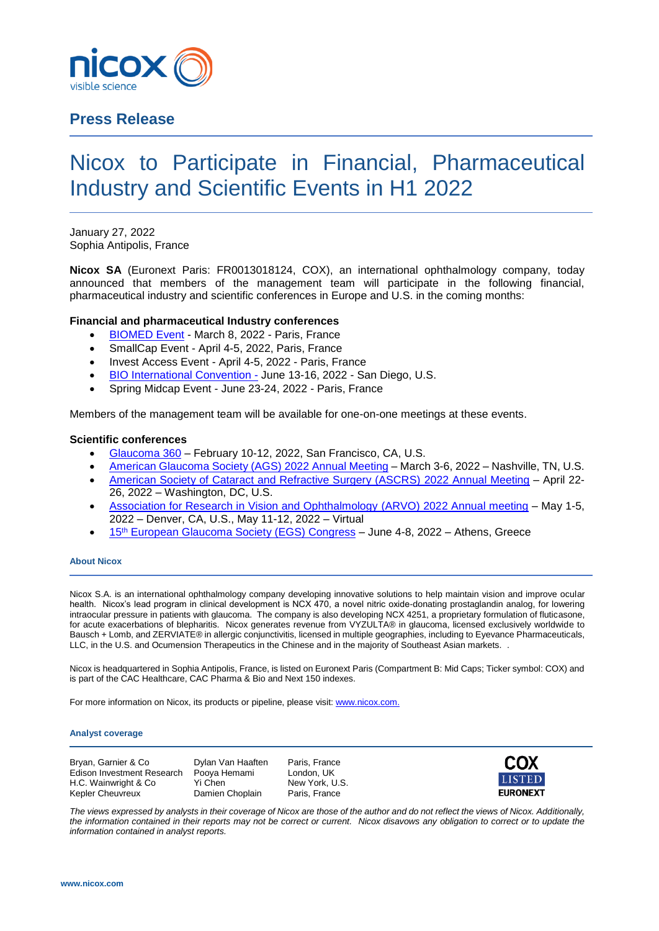

# **Press Release**

# Nicox to Participate in Financial, Pharmaceutical Industry and Scientific Events in H1 2022

January 27, 2022 Sophia Antipolis, France

**Nicox SA** (Euronext Paris: FR0013018124, COX), an international ophthalmology company, today announced that members of the management team will participate in the following financial, pharmaceutical industry and scientific conferences in Europe and U.S. in the coming months:

## **Financial and pharmaceutical Industry conferences**

- [BIOMED Event](http://biomedtechevent.com/) March 8, 2022 Paris, France
- SmallCap Event April 4-5, 2022, Paris, France
- Invest Access Event April 4-5, 2022 Paris, France
- [BIO International Convention -](https://www.bio.org/events/bio-international-convention) June 13-16, 2022 San Diego, U.S.
- Spring Midcap Event June 23-24, 2022 Paris, France

Members of the management team will be available for one-on-one meetings at these events.

### **Scientific conferences**

- [Glaucoma 360](https://www.glaucoma.org/news/events/glaucoma-360.php) February 10-12, 2022, San Francisco, CA, U.S.
- [American Glaucoma Society \(AGS\) 2022 Annual Meeting](https://www.americanglaucomasociety.net/ags-events/annual-meeting) March 3-6, 2022 Nashville, TN, U.S.
- [American Society of Cataract and Refractive Surgery \(ASCRS\) 2022 Annual Meeting](https://annualmeeting.ascrs.org/) April 22- 26, 2022 – Washington, DC, U.S.
- [Association for Research in Vision and Ophthalmology \(ARVO\) 2022 Annual meeting](https://www.arvo.org/annual-meeting/) May 1-5, 2022 – Denver, CA, U.S., May 11-12, 2022 – Virtual
- 15<sup>th</sup> [European Glaucoma Society \(EGS\) Congress](https://egs2022.org/) June 4-8, 2022 Athens, Greece

#### **About Nicox**

Nicox S.A. is an international ophthalmology company developing innovative solutions to help maintain vision and improve ocular health. Nicox's lead program in clinical development is NCX 470, a novel nitric oxide-donating prostaglandin analog, for lowering intraocular pressure in patients with glaucoma. The company is also developing NCX 4251, a proprietary formulation of fluticasone, for acute exacerbations of blepharitis. Nicox generates revenue from VYZULTA® in glaucoma, licensed exclusively worldwide to Bausch + Lomb, and ZERVIATE® in allergic conjunctivitis, licensed in multiple geographies, including to Eyevance Pharmaceuticals, LLC, in the U.S. and Ocumension Therapeutics in the Chinese and in the majority of Southeast Asian markets. .

Nicox is headquartered in Sophia Antipolis, France, is listed on Euronext Paris (Compartment B: Mid Caps; Ticker symbol: COX) and is part of the CAC Healthcare, CAC Pharma & Bio and Next 150 indexes.

For more information on Nicox, its products or pipeline, please visit[: www.nicox.com.](http://www.nicox.com/)

#### **Analyst coverage**

Bryan, Garnier & Co **Dylan Van Haaften** Paris, France Edison Investment Research Pooya Hemami London, UK<br>H.C. Wainwright & Co. Yi Chen New York U.S. H.C. Wainwright & Co Yi Chen Kepler Cheuvreux **Damien Choplain** Paris, France



*The views expressed by analysts in their coverage of Nicox are those of the author and do not reflect the views of Nicox. Additionally, the information contained in their reports may not be correct or current. Nicox disavows any obligation to correct or to update the information contained in analyst reports.*